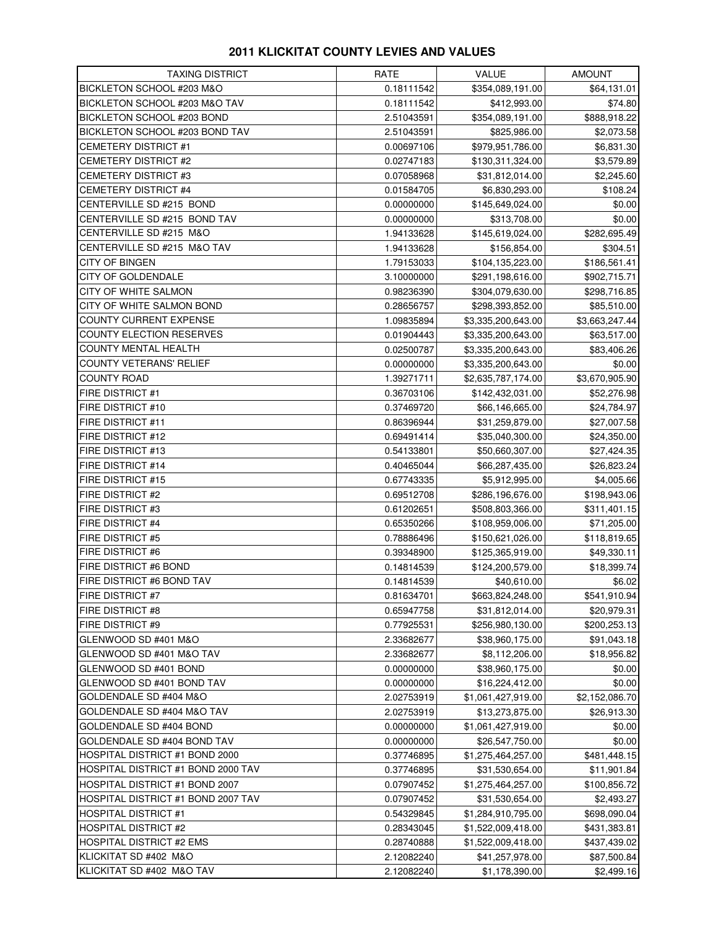## **2011 KLICKITAT COUNTY LEVIES AND VALUES**

| <b>TAXING DISTRICT</b>             | RATE                     | VALUE                                 | <b>AMOUNT</b>               |
|------------------------------------|--------------------------|---------------------------------------|-----------------------------|
| BICKLETON SCHOOL #203 M&O          | 0.18111542               | \$354,089,191.00                      | \$64,131.01                 |
| BICKLETON SCHOOL #203 M&O TAV      | 0.18111542               | \$412,993.00                          | \$74.80                     |
| BICKLETON SCHOOL #203 BOND         | 2.51043591               | \$354,089,191.00                      | \$888,918.22                |
| BICKLETON SCHOOL #203 BOND TAV     | 2.51043591               | \$825,986.00                          | \$2,073.58                  |
| <b>CEMETERY DISTRICT #1</b>        | 0.00697106               | \$979,951,786.00                      | \$6,831.30                  |
| CEMETERY DISTRICT #2               | 0.02747183               | \$130,311,324.00                      | \$3,579.89                  |
| CEMETERY DISTRICT #3               | 0.07058968               | \$31,812,014.00                       | \$2,245.60                  |
| <b>CEMETERY DISTRICT #4</b>        | 0.01584705               | \$6,830,293.00                        | \$108.24                    |
| CENTERVILLE SD #215 BOND           | 0.00000000               | \$145,649,024.00                      | \$0.00                      |
| CENTERVILLE SD #215 BOND TAV       | 0.00000000               | \$313,708.00                          | \$0.00                      |
| CENTERVILLE SD #215 M&O            | 1.94133628               | \$145,619,024.00                      | \$282,695.49                |
| CENTERVILLE SD #215 M&O TAV        | 1.94133628               | \$156,854.00                          | \$304.51                    |
| CITY OF BINGEN                     | 1.79153033               | \$104,135,223.00                      | \$186,561.41                |
| CITY OF GOLDENDALE                 | 3.10000000               | \$291,198,616.00                      | \$902,715.71                |
| CITY OF WHITE SALMON               | 0.98236390               | \$304,079,630.00                      | \$298,716.85                |
| CITY OF WHITE SALMON BOND          | 0.28656757               | \$298,393,852.00                      | \$85,510.00                 |
| COUNTY CURRENT EXPENSE             | 1.09835894               | \$3,335,200,643.00                    | \$3,663,247.44              |
| COUNTY ELECTION RESERVES           | 0.01904443               | \$3,335,200,643.00                    | \$63,517.00                 |
| COUNTY MENTAL HEALTH               | 0.02500787               | \$3,335,200,643.00                    | \$83,406.26                 |
| COUNTY VETERANS' RELIEF            | 0.00000000               | \$3,335,200,643.00                    | \$0.00                      |
| <b>COUNTY ROAD</b>                 | 1.39271711               | \$2,635,787,174.00                    | \$3,670,905.90              |
| FIRE DISTRICT #1                   | 0.36703106               | \$142,432,031.00                      | \$52,276.98                 |
| FIRE DISTRICT #10                  | 0.37469720               | \$66,146,665.00                       | \$24,784.97                 |
| FIRE DISTRICT #11                  | 0.86396944               | \$31,259,879.00                       | \$27,007.58                 |
| FIRE DISTRICT #12                  | 0.69491414               | \$35,040,300.00                       | \$24,350.00                 |
| FIRE DISTRICT #13                  | 0.54133801               | \$50,660,307.00                       | \$27,424.35                 |
| FIRE DISTRICT #14                  | 0.40465044               | \$66,287,435.00                       | \$26,823.24                 |
| FIRE DISTRICT #15                  | 0.67743335               | \$5,912,995.00                        | \$4,005.66                  |
| FIRE DISTRICT #2                   | 0.69512708               | \$286,196,676.00                      | \$198,943.06                |
| FIRE DISTRICT #3                   | 0.61202651               | \$508,803,366.00                      | \$311,401.15                |
| FIRE DISTRICT #4                   | 0.65350266               | \$108,959,006.00                      | \$71,205.00                 |
| FIRE DISTRICT #5                   | 0.78886496               | \$150,621,026.00                      | \$118,819.65                |
| FIRE DISTRICT #6                   | 0.39348900               | \$125,365,919.00                      | \$49,330.11                 |
| FIRE DISTRICT #6 BOND              | 0.14814539               | \$124,200,579.00                      | \$18,399.74                 |
| FIRE DISTRICT #6 BOND TAV          | 0.14814539               | \$40,610.00                           | \$6.02                      |
| FIRE DISTRICT #7                   | 0.81634701               | \$663,824,248.00                      | \$541,910.94                |
| FIRE DISTRICT #8                   | 0.65947758               | \$31,812,014.00                       | \$20,979.31                 |
| FIRE DISTRICT #9                   | 0.77925531               | \$256,980,130.00                      | \$200,253.13                |
| GLENWOOD SD #401 M&O               | 2.33682677               | \$38,960,175.00                       | \$91,043.18                 |
| GLENWOOD SD #401 M&O TAV           | 2.33682677               | \$8,112,206.00                        | \$18,956.82                 |
| GLENWOOD SD #401 BOND              | 0.00000000               | \$38,960,175.00                       | \$0.00                      |
| GLENWOOD SD #401 BOND TAV          | 0.00000000               | \$16,224,412.00                       | \$0.00                      |
| GOLDENDALE SD #404 M&O             | 2.02753919               | \$1,061,427,919.00                    | \$2,152,086.70              |
| GOLDENDALE SD #404 M&O TAV         | 2.02753919               | \$13,273,875.00                       | \$26,913.30                 |
| GOLDENDALE SD #404 BOND            | 0.00000000               | \$1,061,427,919.00                    | \$0.00                      |
| GOLDENDALE SD #404 BOND TAV        |                          | \$26,547,750.00                       |                             |
| HOSPITAL DISTRICT #1 BOND 2000     | 0.00000000               |                                       | \$0.00                      |
| HOSPITAL DISTRICT #1 BOND 2000 TAV | 0.37746895<br>0.37746895 | \$1,275,464,257.00<br>\$31,530,654.00 | \$481,448.15<br>\$11,901.84 |
|                                    |                          |                                       |                             |
| HOSPITAL DISTRICT #1 BOND 2007     | 0.07907452               | \$1,275,464,257.00                    | \$100,856.72                |
| HOSPITAL DISTRICT #1 BOND 2007 TAV | 0.07907452               | \$31,530,654.00                       | \$2,493.27                  |
| <b>HOSPITAL DISTRICT #1</b>        | 0.54329845               | \$1,284,910,795.00                    | \$698,090.04                |
| <b>HOSPITAL DISTRICT #2</b>        | 0.28343045               | \$1,522,009,418.00                    | \$431,383.81                |
| HOSPITAL DISTRICT #2 EMS           | 0.28740888               | \$1,522,009,418.00                    | \$437,439.02                |
| KLICKITAT SD #402 M&O              | 2.12082240               | \$41,257,978.00                       | \$87,500.84                 |
| KLICKITAT SD #402 M&O TAV          | 2.12082240               | \$1,178,390.00                        | \$2,499.16                  |